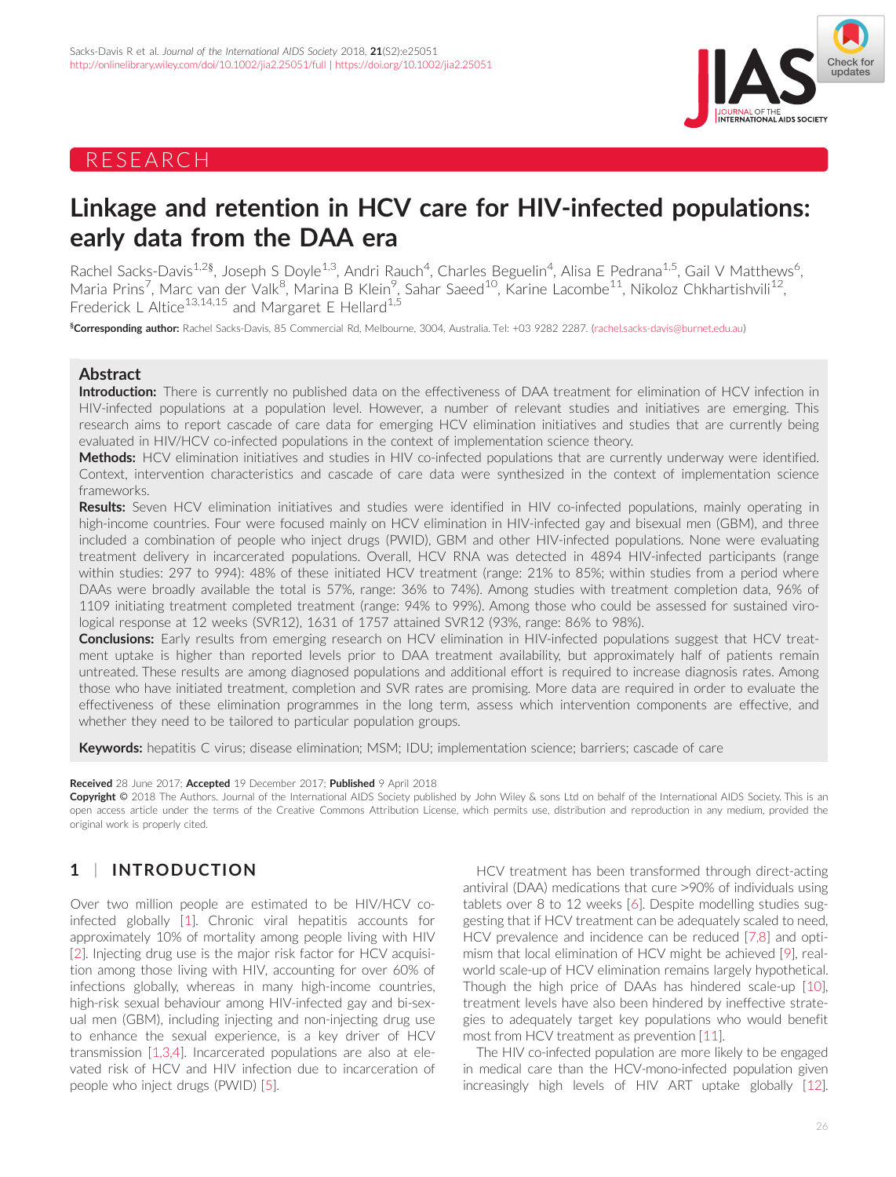# RESEARCH



# Linkage and retention in HCV care for HIV-infected populations: early data from the DAA era

Rachel Sacks-Davis<sup>1,2§</sup>, Joseph S Doyle<sup>1,3</sup>, Andri Rauch<sup>4</sup>, Charles Beguelin<sup>4</sup>, Alisa E Pedrana<sup>1,5</sup>, Gail V Matthews<sup>6</sup> .<br>. Maria Prins<sup>7</sup>, Marc van der Valk<sup>8</sup>, Marina B Klein<sup>9</sup>, Sahar Saeed<sup>10</sup>, Karine Lacombe<sup>11</sup>, Nikoloz Chkhartishvili<sup>12</sup>, Frederick L Altice<sup>13,14,15</sup> and Margaret E Hellard<sup>1,5</sup>

§ Corresponding author: Rachel Sacks-Davis, 85 Commercial Rd, Melbourne, 3004, Australia. Tel: +03 9282 2287. [\(rachel.sacks-davis@burnet.edu.au\)](mailto:rachel.sacks-davis@burnet.edu.au)

## Abstract

Introduction: There is currently no published data on the effectiveness of DAA treatment for elimination of HCV infection in HIV-infected populations at a population level. However, a number of relevant studies and initiatives are emerging. This research aims to report cascade of care data for emerging HCV elimination initiatives and studies that are currently being evaluated in HIV/HCV co-infected populations in the context of implementation science theory.

Methods: HCV elimination initiatives and studies in HIV co-infected populations that are currently underway were identified. Context, intervention characteristics and cascade of care data were synthesized in the context of implementation science frameworks.

Results: Seven HCV elimination initiatives and studies were identified in HIV co-infected populations, mainly operating in high-income countries. Four were focused mainly on HCV elimination in HIV-infected gay and bisexual men (GBM), and three included a combination of people who inject drugs (PWID), GBM and other HIV-infected populations. None were evaluating treatment delivery in incarcerated populations. Overall, HCV RNA was detected in 4894 HIV-infected participants (range within studies: 297 to 994): 48% of these initiated HCV treatment (range: 21% to 85%; within studies from a period where DAAs were broadly available the total is 57%, range: 36% to 74%). Among studies with treatment completion data, 96% of 1109 initiating treatment completed treatment (range: 94% to 99%). Among those who could be assessed for sustained virological response at 12 weeks (SVR12), 1631 of 1757 attained SVR12 (93%, range: 86% to 98%).

Conclusions: Early results from emerging research on HCV elimination in HIV-infected populations suggest that HCV treatment uptake is higher than reported levels prior to DAA treatment availability, but approximately half of patients remain untreated. These results are among diagnosed populations and additional effort is required to increase diagnosis rates. Among those who have initiated treatment, completion and SVR rates are promising. More data are required in order to evaluate the effectiveness of these elimination programmes in the long term, assess which intervention components are effective, and whether they need to be tailored to particular population groups.

Keywords: hepatitis C virus; disease elimination; MSM; IDU; implementation science; barriers; cascade of care

## Received 28 June 2017; Accepted 19 December 2017; Published 9 April 2018

Copyright © 2018 The Authors. Journal of the International AIDS Society published by John Wiley & sons Ltd on behalf of the International AIDS Society. This is an open access article under the terms of the [Creative Commons Attribution](http://creativecommons.org/licenses/by/4.0/) License, which permits use, distribution and reproduction in any medium, provided the original work is properly cited.

# 1 | INTRODUCTION

Over two million people are estimated to be HIV/HCV coinfected globally [\[1\]](#page-10-0). Chronic viral hepatitis accounts for approximately 10% of mortality among people living with HIV [\[2](#page-10-0)]. Injecting drug use is the major risk factor for HCV acquisition among those living with HIV, accounting for over 60% of infections globally, whereas in many high-income countries, high-risk sexual behaviour among HIV-infected gay and bi-sexual men (GBM), including injecting and non-injecting drug use to enhance the sexual experience, is a key driver of HCV transmission [[1,3,4\]](#page-10-0). Incarcerated populations are also at elevated risk of HCV and HIV infection due to incarceration of people who inject drugs (PWID) [\[5](#page-10-0)].

HCV treatment has been transformed through direct-acting antiviral (DAA) medications that cure >90% of individuals using tablets over 8 to 12 weeks [\[6](#page-10-0)]. Despite modelling studies suggesting that if HCV treatment can be adequately scaled to need, HCV prevalence and incidence can be reduced [[7,8](#page-10-0)] and optimism that local elimination of HCV might be achieved [[9\]](#page-10-0), realworld scale-up of HCV elimination remains largely hypothetical. Though the high price of DAAs has hindered scale-up [[10](#page-10-0)], treatment levels have also been hindered by ineffective strategies to adequately target key populations who would benefit most from HCV treatment as prevention [\[11\]](#page-10-0).

The HIV co-infected population are more likely to be engaged in medical care than the HCV-mono-infected population given increasingly high levels of HIV ART uptake globally [\[12](#page-10-0)].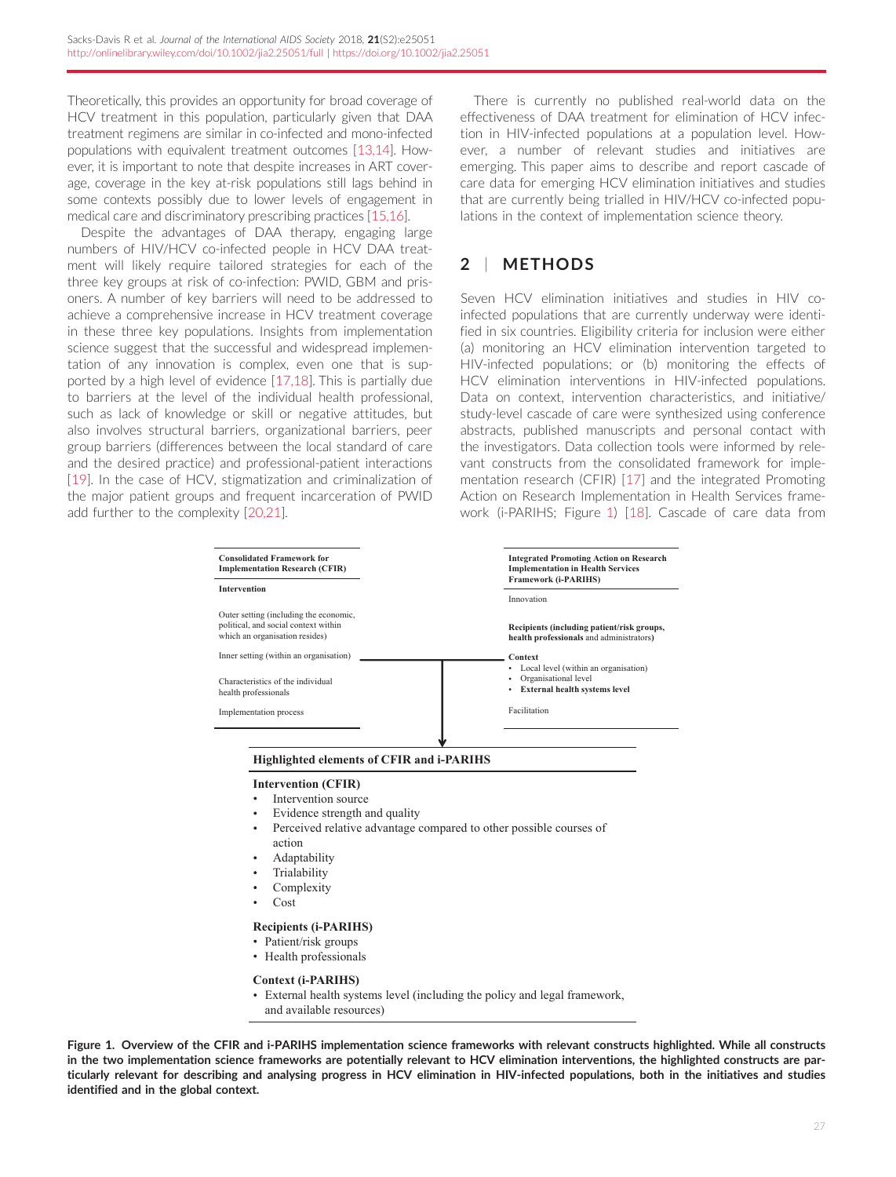<span id="page-1-0"></span>Theoretically, this provides an opportunity for broad coverage of HCV treatment in this population, particularly given that DAA treatment regimens are similar in co-infected and mono-infected populations with equivalent treatment outcomes [\[13,14](#page-10-0)]. However, it is important to note that despite increases in ART coverage, coverage in the key at-risk populations still lags behind in some contexts possibly due to lower levels of engagement in medical care and discriminatory prescribing practices [[15,16](#page-10-0)].

Despite the advantages of DAA therapy, engaging large numbers of HIV/HCV co-infected people in HCV DAA treatment will likely require tailored strategies for each of the three key groups at risk of co-infection: PWID, GBM and prisoners. A number of key barriers will need to be addressed to achieve a comprehensive increase in HCV treatment coverage in these three key populations. Insights from implementation science suggest that the successful and widespread implementation of any innovation is complex, even one that is supported by a high level of evidence [\[17,18](#page-10-0)]. This is partially due to barriers at the level of the individual health professional, such as lack of knowledge or skill or negative attitudes, but also involves structural barriers, organizational barriers, peer group barriers (differences between the local standard of care and the desired practice) and professional-patient interactions [\[19\]](#page-10-0). In the case of HCV, stigmatization and criminalization of the major patient groups and frequent incarceration of PWID add further to the complexity [[20,21\]](#page-10-0).

There is currently no published real-world data on the effectiveness of DAA treatment for elimination of HCV infection in HIV-infected populations at a population level. However, a number of relevant studies and initiatives are emerging. This paper aims to describe and report cascade of care data for emerging HCV elimination initiatives and studies that are currently being trialled in HIV/HCV co-infected populations in the context of implementation science theory.

# 2 | METHODS

Seven HCV elimination initiatives and studies in HIV coinfected populations that are currently underway were identified in six countries. Eligibility criteria for inclusion were either (a) monitoring an HCV elimination intervention targeted to HIV-infected populations; or (b) monitoring the effects of HCV elimination interventions in HIV-infected populations. Data on context, intervention characteristics, and initiative/ study-level cascade of care were synthesized using conference abstracts, published manuscripts and personal contact with the investigators. Data collection tools were informed by relevant constructs from the consolidated framework for implementation research (CFIR) [[17](#page-10-0)] and the integrated Promoting Action on Research Implementation in Health Services framework (i-PARIHS; Figure 1) [\[18](#page-10-0)]. Cascade of care data from

| <b>Consolidated Framework for</b><br><b>Implementation Research (CFIR)</b>                                       | <b>Integrated Promoting Action on Research</b><br><b>Implementation in Health Services</b><br><b>Framework (i-PARIHS)</b> |
|------------------------------------------------------------------------------------------------------------------|---------------------------------------------------------------------------------------------------------------------------|
| <b>Intervention</b>                                                                                              |                                                                                                                           |
|                                                                                                                  | Innovation                                                                                                                |
| Outer setting (including the economic,<br>political, and social context within<br>which an organisation resides) | Recipients (including patient/risk groups,<br>health professionals and administrators)                                    |
| Inner setting (within an organisation)                                                                           | Context                                                                                                                   |
| Characteristics of the individual<br>health professionals                                                        | Local level (within an organisation)<br>٠<br>Organisational level<br>٠<br>External health systems level<br>٠              |
| Implementation process                                                                                           | Facilitation                                                                                                              |
|                                                                                                                  |                                                                                                                           |
| <b>Highlighted elements of CFIR and i-PARIHS</b>                                                                 |                                                                                                                           |
| <b>Intervention (CFIR)</b>                                                                                       |                                                                                                                           |

- Intervention source
- Evidence strength and quality
- Perceived relative advantage compared to other possible courses of action
- Adaptability
- Trialability
- Complexity
- Cost

#### **Recipients (i-PARIHS)**

- Patient/risk groups
- Health professionals

**Context (i-PARIHS)**

External health systems level (including the policy and legal framework, and available resources)

Figure 1. Overview of the CFIR and i-PARIHS implementation science frameworks with relevant constructs highlighted. While all constructs in the two implementation science frameworks are potentially relevant to HCV elimination interventions, the highlighted constructs are particularly relevant for describing and analysing progress in HCV elimination in HIV-infected populations, both in the initiatives and studies identified and in the global context.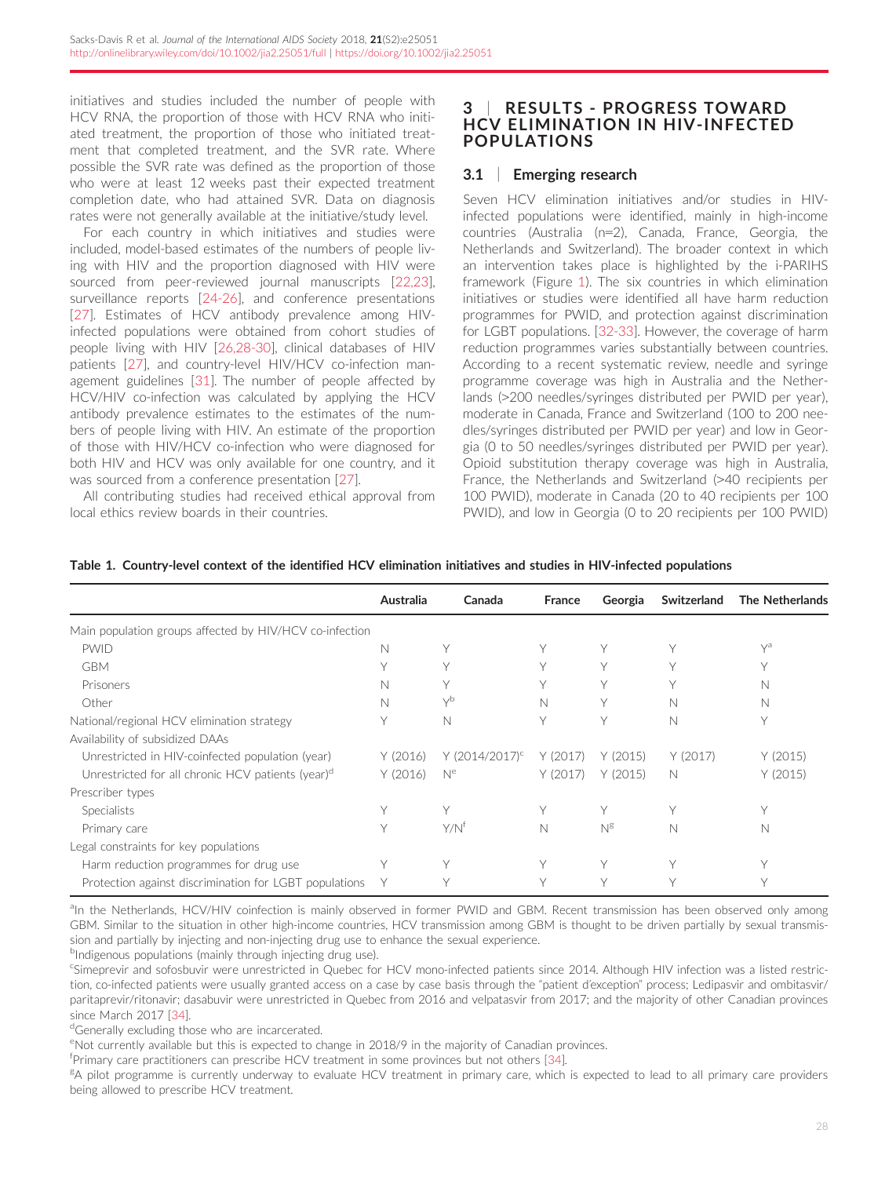<span id="page-2-0"></span>initiatives and studies included the number of people with HCV RNA, the proportion of those with HCV RNA who initiated treatment, the proportion of those who initiated treatment that completed treatment, and the SVR rate. Where possible the SVR rate was defined as the proportion of those who were at least 12 weeks past their expected treatment completion date, who had attained SVR. Data on diagnosis rates were not generally available at the initiative/study level.

For each country in which initiatives and studies were included, model-based estimates of the numbers of people living with HIV and the proportion diagnosed with HIV were sourced from peer-reviewed journal manuscripts [[22,23\]](#page-10-0), surveillance reports [[24-26\]](#page-10-0), and conference presentations [\[27](#page-10-0)]. Estimates of HCV antibody prevalence among HIVinfected populations were obtained from cohort studies of people living with HIV [[26,28-30](#page-10-0)], clinical databases of HIV patients [[27](#page-10-0)], and country-level HIV/HCV co-infection management guidelines [[31\]](#page-10-0). The number of people affected by HCV/HIV co-infection was calculated by applying the HCV antibody prevalence estimates to the estimates of the numbers of people living with HIV. An estimate of the proportion of those with HIV/HCV co-infection who were diagnosed for both HIV and HCV was only available for one country, and it was sourced from a conference presentation [\[27\]](#page-10-0).

All contributing studies had received ethical approval from local ethics review boards in their countries.

# 3 | RESULTS - PROGRESS TOWARD HCV ELIMINATION IN HIV-INFECTED POPULATIONS

# 3.1 | Emerging research

Seven HCV elimination initiatives and/or studies in HIVinfected populations were identified, mainly in high-income countries (Australia (n=2), Canada, France, Georgia, the Netherlands and Switzerland). The broader context in which an intervention takes place is highlighted by the i-PARIHS framework (Figure [1](#page-1-0)). The six countries in which elimination initiatives or studies were identified all have harm reduction programmes for PWID, and protection against discrimination for LGBT populations. [[32-33](#page-10-0)]. However, the coverage of harm reduction programmes varies substantially between countries. According to a recent systematic review, needle and syringe programme coverage was high in Australia and the Netherlands (>200 needles/syringes distributed per PWID per year), moderate in Canada, France and Switzerland (100 to 200 needles/syringes distributed per PWID per year) and low in Georgia (0 to 50 needles/syringes distributed per PWID per year). Opioid substitution therapy coverage was high in Australia, France, the Netherlands and Switzerland (>40 recipients per 100 PWID), moderate in Canada (20 to 40 recipients per 100 PWID), and low in Georgia (0 to 20 recipients per 100 PWID)

|  | Table 1. Country-level context of the identified HCV elimination initiatives and studies in HIV-infected populations |
|--|----------------------------------------------------------------------------------------------------------------------|
|--|----------------------------------------------------------------------------------------------------------------------|

|                                                               | Australia | Canada                     | <b>France</b> | Georgia  | Switzerland | <b>The Netherlands</b> |
|---------------------------------------------------------------|-----------|----------------------------|---------------|----------|-------------|------------------------|
| Main population groups affected by HIV/HCV co-infection       |           |                            |               |          |             |                        |
| <b>PWID</b>                                                   | N         | Υ                          |               | Υ        | Υ           | $\vee$ <sup>a</sup>    |
| <b>GBM</b>                                                    | v         | Υ                          | Y             | Υ        | V           | Υ                      |
| Prisoners                                                     | N         | $\vee$                     | Y             | Y        | $\vee$      | N                      |
| Other                                                         | N         | $\vee$                     | N             | Υ        | N           | N                      |
| National/regional HCV elimination strategy                    |           | N                          | Υ             | Υ        | N           | Υ                      |
| Availability of subsidized DAAs                               |           |                            |               |          |             |                        |
| Unrestricted in HIV-coinfected population (year)              | Y(2016)   | Y (2014/2017) <sup>c</sup> | Y (2017)      | Y (2015) | Y(2017)     | Y(2015)                |
| Unrestricted for all chronic HCV patients (year) <sup>d</sup> | Y(2016)   | N <sup>e</sup>             | Y(2017)       | Y(2015)  | N           | Y(2015)                |
| Prescriber types                                              |           |                            |               |          |             |                        |
| <b>Specialists</b>                                            | ٧         | Y                          | Υ             | Υ        | Υ           | $\vee$                 |
| Primary care                                                  | ٧         | $Y/N^{\dagger}$            | N             | $N^g$    | N           | N                      |
| Legal constraints for key populations                         |           |                            |               |          |             |                        |
| Harm reduction programmes for drug use                        | $\vee$    | Y                          | V             | Y        | Υ           | $\vee$                 |
| Protection against discrimination for LGBT populations        |           |                            |               | $\vee$   | $\vee$      | $\vee$                 |

aln the Netherlands, HCV/HIV coinfection is mainly observed in former PWID and GBM. Recent transmission has been observed only among GBM. Similar to the situation in other high-income countries, HCV transmission among GBM is thought to be driven partially by sexual transmission and partially by injecting and non-injecting drug use to enhance the sexual experience.

<sup>b</sup>Indigenous populations (mainly through injecting drug use).

<sup>c</sup>Simeprevir and sofosbuvir were unrestricted in Quebec for HCV mono-infected patients since 2014. Although HIV infection was a listed restriction, co-infected patients were usually granted access on a case by case basis through the "patient d'exception" process; Ledipasvir and ombitasvir/ paritaprevir/ritonavir; dasabuvir were unrestricted in Quebec from 2016 and velpatasvir from 2017; and the majority of other Canadian provinces since March 2017 [\[34](#page-10-0)].

<sup>d</sup>Generally excluding those who are incarcerated.

eNot currently available but this is expected to change in 2018/9 in the majority of Canadian provinces.

f Primary care practitioners can prescribe HCV treatment in some provinces but not others [\[34](#page-10-0)].

<sup>g</sup>A pilot programme is currently underway to evaluate HCV treatment in primary care, which is expected to lead to all primary care providers being allowed to prescribe HCV treatment.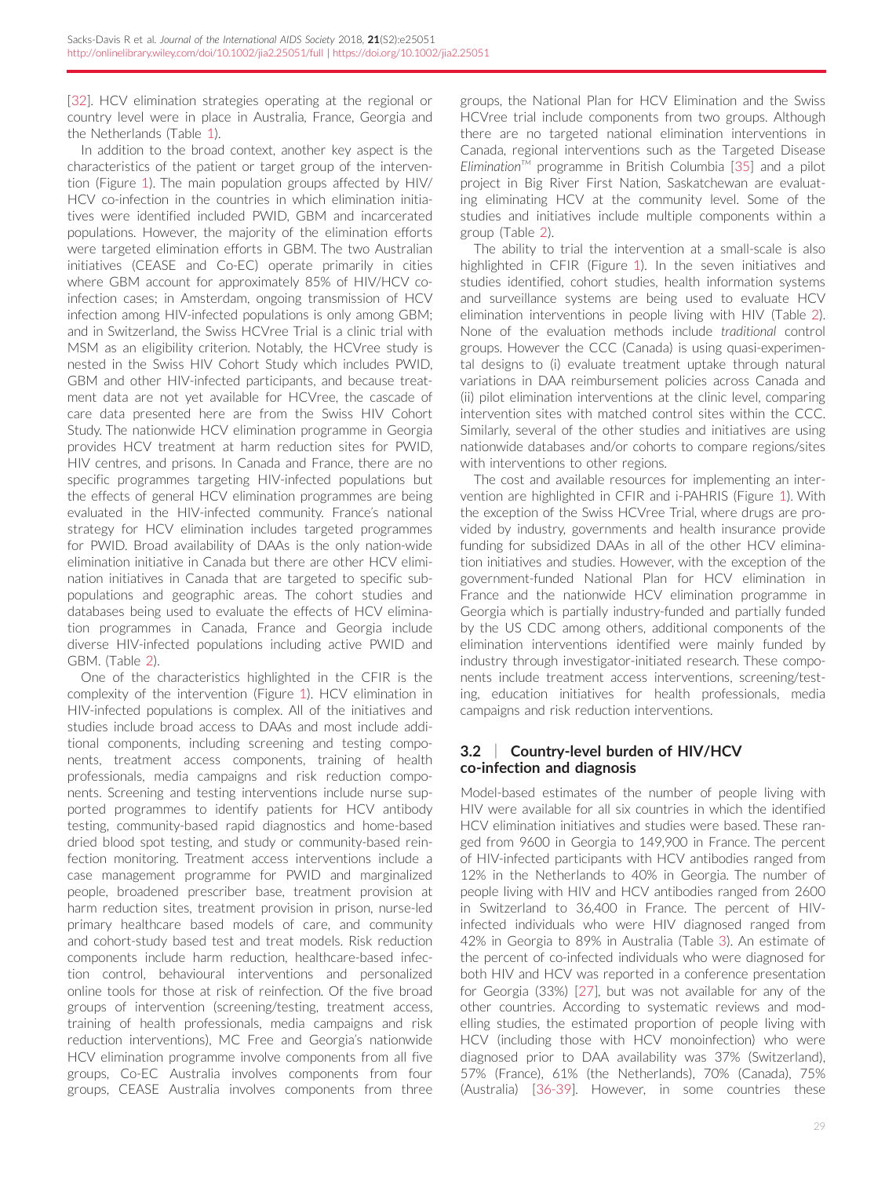[\[32\]](#page-10-0). HCV elimination strategies operating at the regional or country level were in place in Australia, France, Georgia and the Netherlands (Table [1](#page-2-0)).

In addition to the broad context, another key aspect is the characteristics of the patient or target group of the intervention (Figure [1\)](#page-1-0). The main population groups affected by HIV/ HCV co-infection in the countries in which elimination initiatives were identified included PWID, GBM and incarcerated populations. However, the majority of the elimination efforts were targeted elimination efforts in GBM. The two Australian initiatives (CEASE and Co-EC) operate primarily in cities where GBM account for approximately 85% of HIV/HCV coinfection cases; in Amsterdam, ongoing transmission of HCV infection among HIV-infected populations is only among GBM; and in Switzerland, the Swiss HCVree Trial is a clinic trial with MSM as an eligibility criterion. Notably, the HCVree study is nested in the Swiss HIV Cohort Study which includes PWID, GBM and other HIV-infected participants, and because treatment data are not yet available for HCVree, the cascade of care data presented here are from the Swiss HIV Cohort Study. The nationwide HCV elimination programme in Georgia provides HCV treatment at harm reduction sites for PWID, HIV centres, and prisons. In Canada and France, there are no specific programmes targeting HIV-infected populations but the effects of general HCV elimination programmes are being evaluated in the HIV-infected community. France's national strategy for HCV elimination includes targeted programmes for PWID. Broad availability of DAAs is the only nation-wide elimination initiative in Canada but there are other HCV elimination initiatives in Canada that are targeted to specific subpopulations and geographic areas. The cohort studies and databases being used to evaluate the effects of HCV elimination programmes in Canada, France and Georgia include diverse HIV-infected populations including active PWID and GBM. (Table [2\)](#page-4-0).

One of the characteristics highlighted in the CFIR is the complexity of the intervention (Figure [1\)](#page-1-0). HCV elimination in HIV-infected populations is complex. All of the initiatives and studies include broad access to DAAs and most include additional components, including screening and testing components, treatment access components, training of health professionals, media campaigns and risk reduction components. Screening and testing interventions include nurse supported programmes to identify patients for HCV antibody testing, community-based rapid diagnostics and home-based dried blood spot testing, and study or community-based reinfection monitoring. Treatment access interventions include a case management programme for PWID and marginalized people, broadened prescriber base, treatment provision at harm reduction sites, treatment provision in prison, nurse-led primary healthcare based models of care, and community and cohort-study based test and treat models. Risk reduction components include harm reduction, healthcare-based infection control, behavioural interventions and personalized online tools for those at risk of reinfection. Of the five broad groups of intervention (screening/testing, treatment access, training of health professionals, media campaigns and risk reduction interventions), MC Free and Georgia's nationwide HCV elimination programme involve components from all five groups, Co-EC Australia involves components from four groups, CEASE Australia involves components from three

groups, the National Plan for HCV Elimination and the Swiss HCVree trial include components from two groups. Although there are no targeted national elimination interventions in Canada, regional interventions such as the Targeted Disease Elimination<sup> $M$ </sup> programme in British Columbia [\[35\]](#page-10-0) and a pilot project in Big River First Nation, Saskatchewan are evaluating eliminating HCV at the community level. Some of the studies and initiatives include multiple components within a group (Table [2\)](#page-4-0).

The ability to trial the intervention at a small-scale is also highlighted in CFIR (Figure [1\)](#page-1-0). In the seven initiatives and studies identified, cohort studies, health information systems and surveillance systems are being used to evaluate HCV elimination interventions in people living with HIV (Table [2](#page-4-0)). None of the evaluation methods include traditional control groups. However the CCC (Canada) is using quasi-experimental designs to (i) evaluate treatment uptake through natural variations in DAA reimbursement policies across Canada and (ii) pilot elimination interventions at the clinic level, comparing intervention sites with matched control sites within the CCC. Similarly, several of the other studies and initiatives are using nationwide databases and/or cohorts to compare regions/sites with interventions to other regions.

The cost and available resources for implementing an intervention are highlighted in CFIR and i-PAHRIS (Figure [1\)](#page-1-0). With the exception of the Swiss HCVree Trial, where drugs are provided by industry, governments and health insurance provide funding for subsidized DAAs in all of the other HCV elimination initiatives and studies. However, with the exception of the government-funded National Plan for HCV elimination in France and the nationwide HCV elimination programme in Georgia which is partially industry-funded and partially funded by the US CDC among others, additional components of the elimination interventions identified were mainly funded by industry through investigator-initiated research. These components include treatment access interventions, screening/testing, education initiatives for health professionals, media campaigns and risk reduction interventions.

# 3.2 | Country-level burden of HIV/HCV co-infection and diagnosis

Model-based estimates of the number of people living with HIV were available for all six countries in which the identified HCV elimination initiatives and studies were based. These ranged from 9600 in Georgia to 149,900 in France. The percent of HIV-infected participants with HCV antibodies ranged from 12% in the Netherlands to 40% in Georgia. The number of people living with HIV and HCV antibodies ranged from 2600 in Switzerland to 36,400 in France. The percent of HIVinfected individuals who were HIV diagnosed ranged from 42% in Georgia to 89% in Australia (Table [3\)](#page-6-0). An estimate of the percent of co-infected individuals who were diagnosed for both HIV and HCV was reported in a conference presentation for Georgia (33%) [[27\]](#page-10-0), but was not available for any of the other countries. According to systematic reviews and modelling studies, the estimated proportion of people living with HCV (including those with HCV monoinfection) who were diagnosed prior to DAA availability was 37% (Switzerland), 57% (France), 61% (the Netherlands), 70% (Canada), 75% (Australia) [\[36-39\]](#page-10-0). However, in some countries these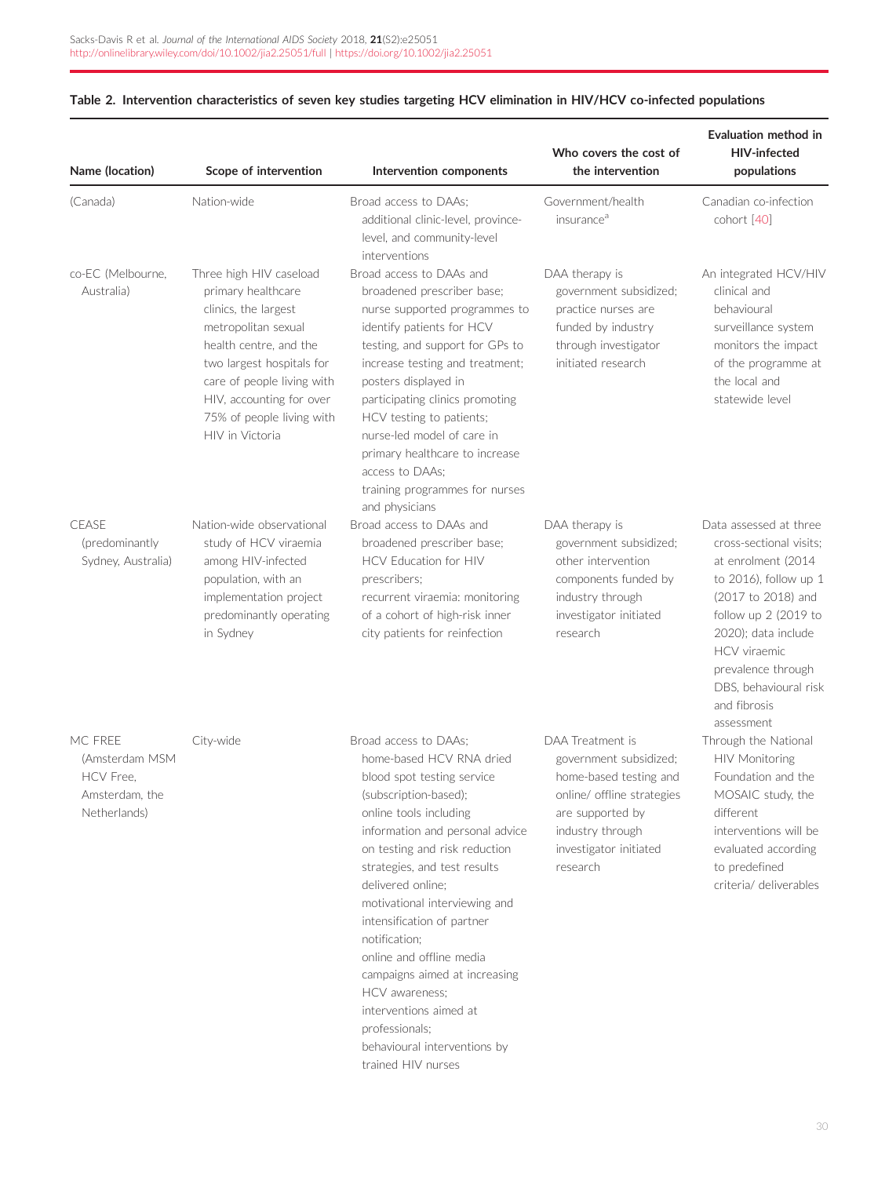| Name (location)                                                                 | Scope of intervention                                                                                                                                                                                                                                         | Intervention components                                                                                                                                                                                                                                                                                                                                                                                                                                                                                                      | Who covers the cost of<br>the intervention                                                                                                                                       | <b>Evaluation method in</b><br><b>HIV-infected</b><br>populations                                                                                                                                                                                                          |
|---------------------------------------------------------------------------------|---------------------------------------------------------------------------------------------------------------------------------------------------------------------------------------------------------------------------------------------------------------|------------------------------------------------------------------------------------------------------------------------------------------------------------------------------------------------------------------------------------------------------------------------------------------------------------------------------------------------------------------------------------------------------------------------------------------------------------------------------------------------------------------------------|----------------------------------------------------------------------------------------------------------------------------------------------------------------------------------|----------------------------------------------------------------------------------------------------------------------------------------------------------------------------------------------------------------------------------------------------------------------------|
| (Canada)                                                                        | Nation-wide                                                                                                                                                                                                                                                   | Broad access to DAAs:<br>additional clinic-level, province-<br>level, and community-level<br>interventions                                                                                                                                                                                                                                                                                                                                                                                                                   | Government/health<br>insurance <sup>a</sup>                                                                                                                                      | Canadian co-infection<br>cohort [40]                                                                                                                                                                                                                                       |
| co-EC (Melbourne,<br>Australia)                                                 | Three high HIV caseload<br>primary healthcare<br>clinics, the largest<br>metropolitan sexual<br>health centre, and the<br>two largest hospitals for<br>care of people living with<br>HIV, accounting for over<br>75% of people living with<br>HIV in Victoria | Broad access to DAAs and<br>broadened prescriber base;<br>nurse supported programmes to<br>identify patients for HCV<br>testing, and support for GPs to<br>increase testing and treatment;<br>posters displayed in<br>participating clinics promoting<br>HCV testing to patients;<br>nurse-led model of care in<br>primary healthcare to increase<br>access to DAAs;<br>training programmes for nurses<br>and physicians                                                                                                     | DAA therapy is<br>government subsidized;<br>practice nurses are<br>funded by industry<br>through investigator<br>initiated research                                              | An integrated HCV/HIV<br>clinical and<br>behavioural<br>surveillance system<br>monitors the impact<br>of the programme at<br>the local and<br>statewide level                                                                                                              |
| <b>CEASE</b><br>(predominantly<br>Sydney, Australia)                            | Nation-wide observational<br>study of HCV viraemia<br>among HIV-infected<br>population, with an<br>implementation project<br>predominantly operating<br>in Sydney                                                                                             | Broad access to DAAs and<br>broadened prescriber base;<br>HCV Education for HIV<br>prescribers;<br>recurrent viraemia: monitoring<br>of a cohort of high-risk inner<br>city patients for reinfection                                                                                                                                                                                                                                                                                                                         | DAA therapy is<br>government subsidized;<br>other intervention<br>components funded by<br>industry through<br>investigator initiated<br>research                                 | Data assessed at three<br>cross-sectional visits;<br>at enrolment (2014)<br>to 2016), follow up 1<br>(2017 to 2018) and<br>follow up 2 (2019 to<br>2020); data include<br><b>HCV</b> viraemic<br>prevalence through<br>DBS, behavioural risk<br>and fibrosis<br>assessment |
| MC FRFF<br>(Amsterdam MSM<br><b>HCV</b> Free.<br>Amsterdam, the<br>Netherlands) | City-wide                                                                                                                                                                                                                                                     | Broad access to DAAs;<br>home-based HCV RNA dried<br>blood spot testing service<br>(subscription-based);<br>online tools including<br>information and personal advice<br>on testing and risk reduction<br>strategies, and test results<br>delivered online;<br>motivational interviewing and<br>intensification of partner<br>notification;<br>online and offline media<br>campaigns aimed at increasing<br>HCV awareness:<br>interventions aimed at<br>professionals;<br>behavioural interventions by<br>trained HIV nurses | DAA Treatment is<br>government subsidized;<br>home-based testing and<br>online/ offline strategies<br>are supported by<br>industry through<br>investigator initiated<br>research | Through the National<br><b>HIV Monitoring</b><br>Foundation and the<br>MOSAIC study, the<br>different<br>interventions will be<br>evaluated according<br>to predefined<br>criteria/ deliverables                                                                           |

# <span id="page-4-0"></span>Table 2. Intervention characteristics of seven key studies targeting HCV elimination in HIV/HCV co-infected populations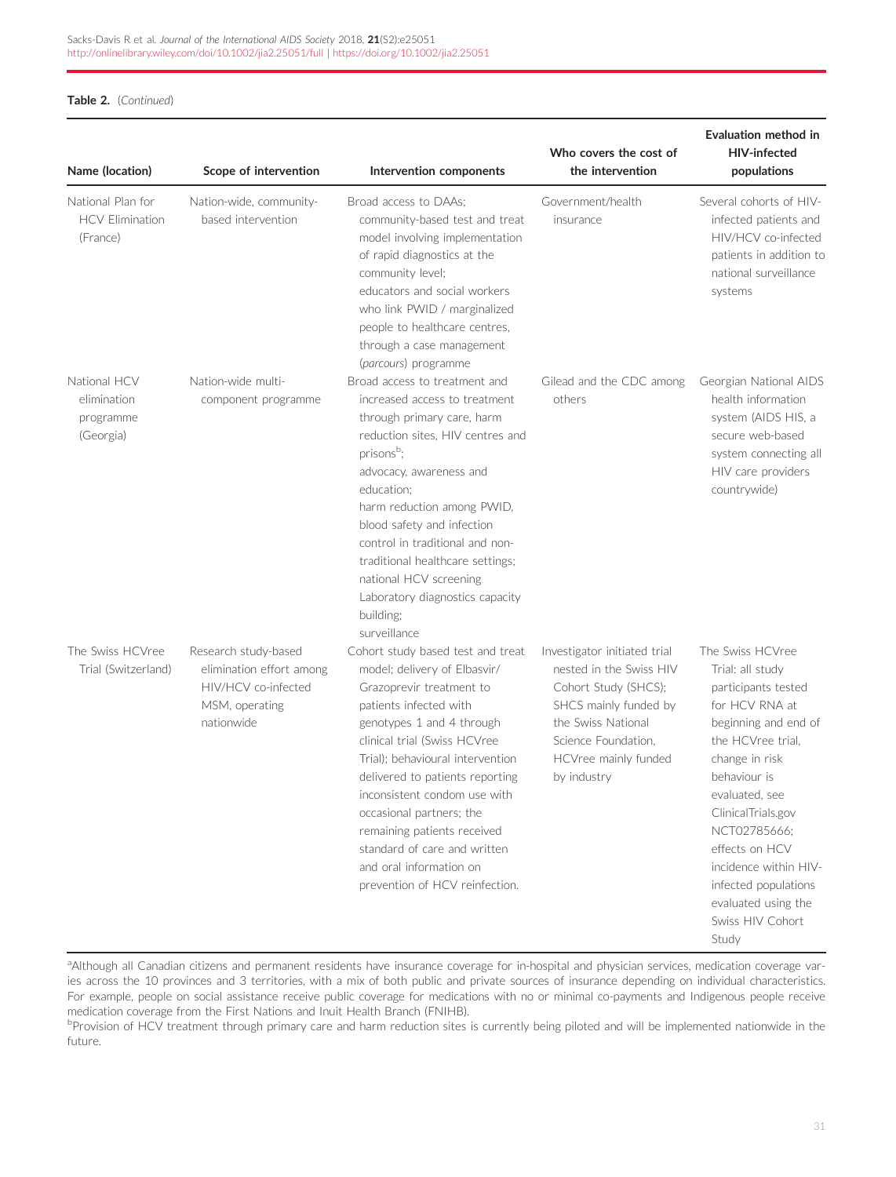Table 2. (Continued)

| Name (location)                                         | Scope of intervention                                                                                   | Intervention components                                                                                                                                                                                                                                                                                                                                                                                                                             | Who covers the cost of<br>the intervention                                                                                                                                                   | Evaluation method in<br><b>HIV-infected</b><br>populations                                                                                                                                                                                                                                                                                  |
|---------------------------------------------------------|---------------------------------------------------------------------------------------------------------|-----------------------------------------------------------------------------------------------------------------------------------------------------------------------------------------------------------------------------------------------------------------------------------------------------------------------------------------------------------------------------------------------------------------------------------------------------|----------------------------------------------------------------------------------------------------------------------------------------------------------------------------------------------|---------------------------------------------------------------------------------------------------------------------------------------------------------------------------------------------------------------------------------------------------------------------------------------------------------------------------------------------|
| National Plan for<br><b>HCV Elimination</b><br>(France) | Nation-wide, community-<br>based intervention                                                           | Broad access to DAAs;<br>community-based test and treat<br>model involving implementation<br>of rapid diagnostics at the<br>community level;<br>educators and social workers<br>who link PWID / marginalized<br>people to healthcare centres,<br>through a case management<br>(parcours) programme                                                                                                                                                  | Government/health<br>insurance                                                                                                                                                               | Several cohorts of HIV-<br>infected patients and<br>HIV/HCV co-infected<br>patients in addition to<br>national surveillance<br>systems                                                                                                                                                                                                      |
| National HCV<br>elimination<br>programme<br>(Georgia)   | Nation-wide multi-<br>component programme                                                               | Broad access to treatment and<br>increased access to treatment<br>through primary care, harm<br>reduction sites, HIV centres and<br>prisons <sup>b</sup> ;<br>advocacy, awareness and<br>education;<br>harm reduction among PWID,<br>blood safety and infection<br>control in traditional and non-<br>traditional healthcare settings;<br>national HCV screening<br>Laboratory diagnostics capacity<br>building;<br>surveillance                    | Gilead and the CDC among<br>others                                                                                                                                                           | Georgian National AIDS<br>health information<br>system (AIDS HIS, a<br>secure web-based<br>system connecting all<br>HIV care providers<br>countrywide)                                                                                                                                                                                      |
| The Swiss HCVree<br>Trial (Switzerland)                 | Research study-based<br>elimination effort among<br>HIV/HCV co-infected<br>MSM, operating<br>nationwide | Cohort study based test and treat<br>model; delivery of Elbasvir/<br>Grazoprevir treatment to<br>patients infected with<br>genotypes 1 and 4 through<br>clinical trial (Swiss HCVree<br>Trial); behavioural intervention<br>delivered to patients reporting<br>inconsistent condom use with<br>occasional partners; the<br>remaining patients received<br>standard of care and written<br>and oral information on<br>prevention of HCV reinfection. | Investigator initiated trial<br>nested in the Swiss HIV<br>Cohort Study (SHCS);<br>SHCS mainly funded by<br>the Swiss National<br>Science Foundation,<br>HCVree mainly funded<br>by industry | The Swiss HCVree<br>Trial: all study<br>participants tested<br>for HCV RNA at<br>beginning and end of<br>the HCVree trial.<br>change in risk<br>behaviour is<br>evaluated, see<br>ClinicalTrials.gov<br>NCT02785666:<br>effects on HCV<br>incidence within HIV-<br>infected populations<br>evaluated using the<br>Swiss HIV Cohort<br>Study |

a<br>Although all Canadian citizens and permanent residents have insurance coverage for in-hospital and physician services, medication coverage varies across the 10 provinces and 3 territories, with a mix of both public and private sources of insurance depending on individual characteristics. For example, people on social assistance receive public coverage for medications with no or minimal co-payments and Indigenous people receive medication coverage from the First Nations and Inuit Health Branch (FNIHB).

bProvision of HCV treatment through primary care and harm reduction sites is currently being piloted and will be implemented nationwide in the future.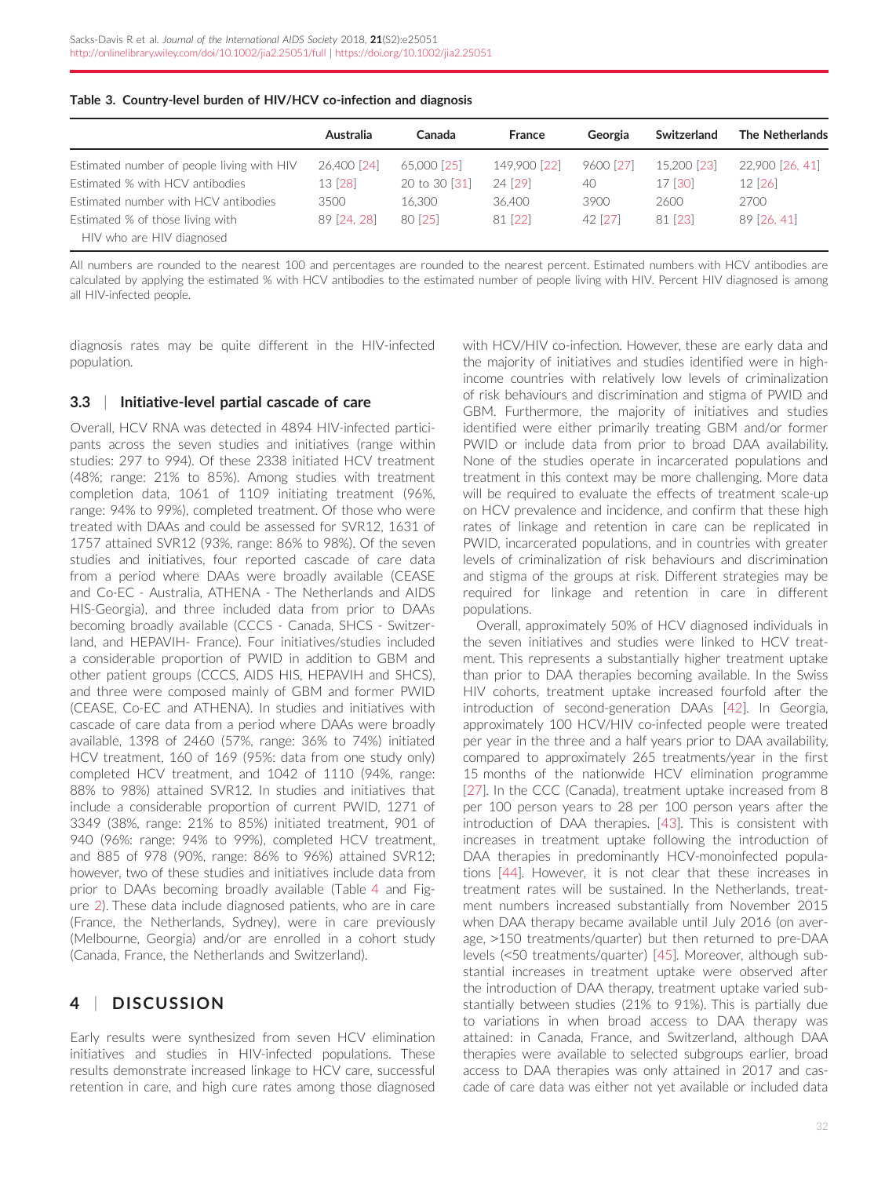|                                            | Australia   | Canada        | <b>France</b> | Georgia   | Switzerland | <b>The Netherlands</b> |
|--------------------------------------------|-------------|---------------|---------------|-----------|-------------|------------------------|
| Estimated number of people living with HIV | 26,400 [24] | 65,000 [25]   | 149,900 [22]  | 9600 [27] | 15,200 [23] | 22,900 [26, 41]        |
| Estimated % with HCV antibodies            | 13 [28]     | 20 to 30 [31] | 24 [29]       | 40        | 17 [30]     | 12 [26]                |
| Estimated number with HCV antibodies       | 3500        | 16.300        | 36,400        | 3900      | 2600        | 2700                   |
| Estimated % of those living with           | 89 [24, 28] | 80 [25]       | 81 [22]       | 42 [27]   | 81 [23]     | 89 [26, 41]            |
| HIV who are HIV diagnosed                  |             |               |               |           |             |                        |

<span id="page-6-0"></span>

| Table 3. Country-level burden of HIV/HCV co-infection and diagnosis |  |
|---------------------------------------------------------------------|--|
|---------------------------------------------------------------------|--|

All numbers are rounded to the nearest 100 and percentages are rounded to the nearest percent. Estimated numbers with HCV antibodies are calculated by applying the estimated % with HCV antibodies to the estimated number of people living with HIV. Percent HIV diagnosed is among all HIV-infected people.

diagnosis rates may be quite different in the HIV-infected population.

## 3.3 | Initiative-level partial cascade of care

Overall, HCV RNA was detected in 4894 HIV-infected participants across the seven studies and initiatives (range within studies: 297 to 994). Of these 2338 initiated HCV treatment (48%; range: 21% to 85%). Among studies with treatment completion data, 1061 of 1109 initiating treatment (96%, range: 94% to 99%), completed treatment. Of those who were treated with DAAs and could be assessed for SVR12, 1631 of 1757 attained SVR12 (93%, range: 86% to 98%). Of the seven studies and initiatives, four reported cascade of care data from a period where DAAs were broadly available (CEASE and Co-EC - Australia, ATHENA - The Netherlands and AIDS HIS-Georgia), and three included data from prior to DAAs becoming broadly available (CCCS - Canada, SHCS - Switzerland, and HEPAVIH- France). Four initiatives/studies included a considerable proportion of PWID in addition to GBM and other patient groups (CCCS, AIDS HIS, HEPAVIH and SHCS), and three were composed mainly of GBM and former PWID (CEASE, Co-EC and ATHENA). In studies and initiatives with cascade of care data from a period where DAAs were broadly available, 1398 of 2460 (57%, range: 36% to 74%) initiated HCV treatment, 160 of 169 (95%: data from one study only) completed HCV treatment, and 1042 of 1110 (94%, range: 88% to 98%) attained SVR12. In studies and initiatives that include a considerable proportion of current PWID, 1271 of 3349 (38%, range: 21% to 85%) initiated treatment, 901 of 940 (96%: range: 94% to 99%), completed HCV treatment, and 885 of 978 (90%, range: 86% to 96%) attained SVR12; however, two of these studies and initiatives include data from prior to DAAs becoming broadly available (Table [4](#page-7-0) and Figure [2\)](#page-7-0). These data include diagnosed patients, who are in care (France, the Netherlands, Sydney), were in care previously (Melbourne, Georgia) and/or are enrolled in a cohort study (Canada, France, the Netherlands and Switzerland).

# 4 | DISCUSSION

Early results were synthesized from seven HCV elimination initiatives and studies in HIV-infected populations. These results demonstrate increased linkage to HCV care, successful retention in care, and high cure rates among those diagnosed with HCV/HIV co-infection. However, these are early data and the majority of initiatives and studies identified were in highincome countries with relatively low levels of criminalization of risk behaviours and discrimination and stigma of PWID and GBM. Furthermore, the majority of initiatives and studies identified were either primarily treating GBM and/or former PWID or include data from prior to broad DAA availability. None of the studies operate in incarcerated populations and treatment in this context may be more challenging. More data will be required to evaluate the effects of treatment scale-up on HCV prevalence and incidence, and confirm that these high rates of linkage and retention in care can be replicated in PWID, incarcerated populations, and in countries with greater levels of criminalization of risk behaviours and discrimination and stigma of the groups at risk. Different strategies may be required for linkage and retention in care in different populations.

Overall, approximately 50% of HCV diagnosed individuals in the seven initiatives and studies were linked to HCV treatment. This represents a substantially higher treatment uptake than prior to DAA therapies becoming available. In the Swiss HIV cohorts, treatment uptake increased fourfold after the introduction of second-generation DAAs [\[42\]](#page-11-0). In Georgia, approximately 100 HCV/HIV co-infected people were treated per year in the three and a half years prior to DAA availability, compared to approximately 265 treatments/year in the first 15 months of the nationwide HCV elimination programme [\[27\]](#page-10-0). In the CCC (Canada), treatment uptake increased from 8 per 100 person years to 28 per 100 person years after the introduction of DAA therapies. [[43\]](#page-11-0). This is consistent with increases in treatment uptake following the introduction of DAA therapies in predominantly HCV-monoinfected populations [[44](#page-11-0)]. However, it is not clear that these increases in treatment rates will be sustained. In the Netherlands, treatment numbers increased substantially from November 2015 when DAA therapy became available until July 2016 (on average, >150 treatments/quarter) but then returned to pre-DAA levels (<50 treatments/quarter) [[45](#page-11-0)]. Moreover, although substantial increases in treatment uptake were observed after the introduction of DAA therapy, treatment uptake varied substantially between studies (21% to 91%). This is partially due to variations in when broad access to DAA therapy was attained: in Canada, France, and Switzerland, although DAA therapies were available to selected subgroups earlier, broad access to DAA therapies was only attained in 2017 and cascade of care data was either not yet available or included data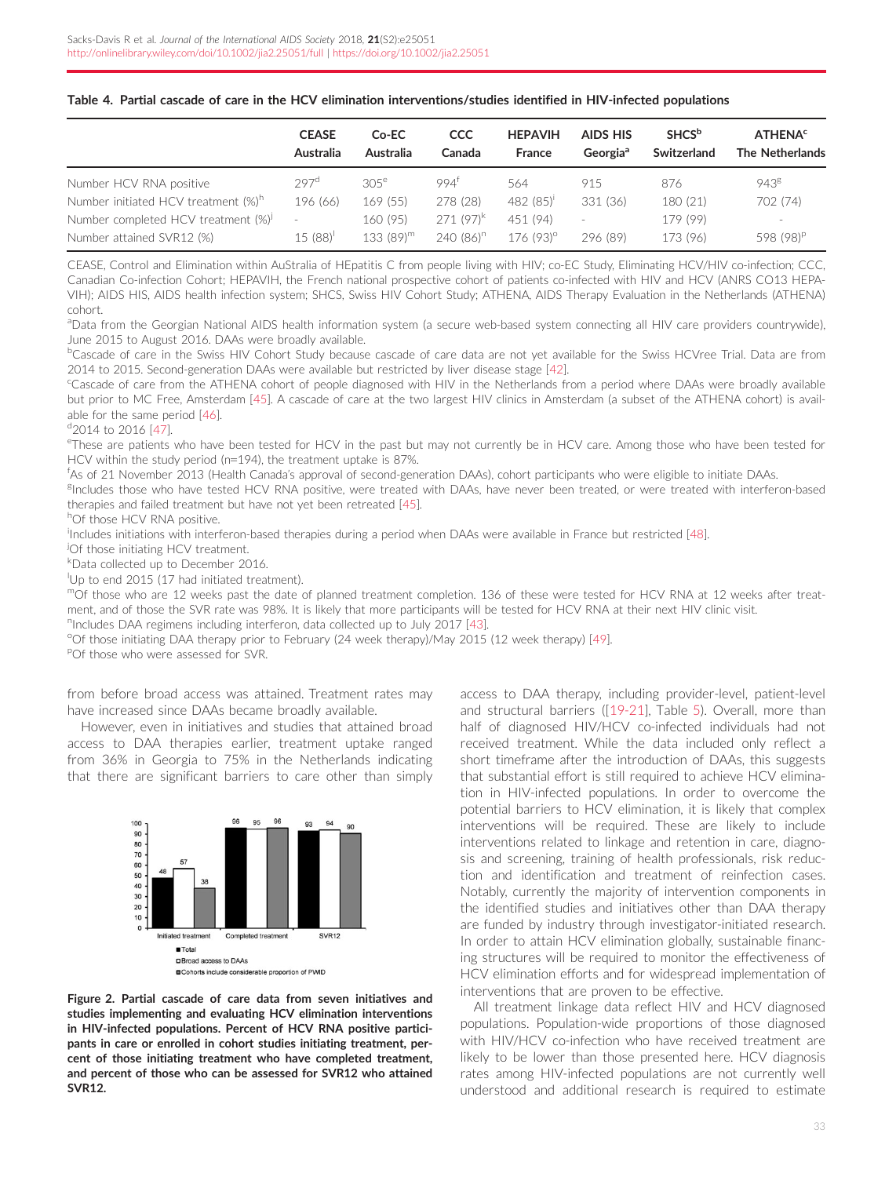<span id="page-7-0"></span>

|  |  |  |  |  |  |  |  | Table 4. Partial cascade of care in the HCV elimination interventions/studies identified in HIV-infected populations |
|--|--|--|--|--|--|--|--|----------------------------------------------------------------------------------------------------------------------|
|--|--|--|--|--|--|--|--|----------------------------------------------------------------------------------------------------------------------|

|                                                 | <b>CEASE</b><br>Australia | Co-EC<br>Australia | CCC<br>Canada    | <b>HEPAVIH</b><br><b>France</b> | <b>AIDS HIS</b><br>Georgia <sup>a</sup> | <b>SHCS</b> <sup>b</sup><br>Switzerland | <b>ATHENA<sup>c</sup></b><br><b>The Netherlands</b> |
|-------------------------------------------------|---------------------------|--------------------|------------------|---------------------------------|-----------------------------------------|-----------------------------------------|-----------------------------------------------------|
| Number HCV RNA positive                         | 297 <sup>d</sup>          | $30.5^\mathrm{e}$  | 994 <sup>f</sup> | 564                             | 915                                     | 876                                     | 943 <sup>g</sup>                                    |
| Number initiated HCV treatment (%) <sup>h</sup> | 196 (66)                  | 169 (55)           | 278 (28)         | 482 (85)                        | 331 (36)                                | 180 (21)                                | 702 (74)                                            |
| Number completed HCV treatment (%)              | $\sim$                    | 160 (95)           | $271(97)^k$      | 451 (94)                        |                                         | 179 (99)                                | $\overline{\phantom{a}}$                            |
| Number attained SVR12 (%)                       | 15(88)                    | $133(89)^m$        | $240(86)^n$      | 176(93)°                        | 296 (89)                                | 173 (96)                                | 598 (98) <sup>P</sup>                               |

CEASE, Control and Elimination within AuStralia of HEpatitis C from people living with HIV; co-EC Study, Eliminating HCV/HIV co-infection; CCC, Canadian Co-infection Cohort; HEPAVIH, the French national prospective cohort of patients co-infected with HIV and HCV (ANRS CO13 HEPA-VIH); AIDS HIS, AIDS health infection system; SHCS, Swiss HIV Cohort Study; ATHENA, AIDS Therapy Evaluation in the Netherlands (ATHENA) cohort.

aData from the Georgian National AIDS health information system (a secure web-based system connecting all HIV care providers countrywide), June 2015 to August 2016. DAAs were broadly available.

**bCascade of care in the Swiss HIV Cohort Study because cascade of care data are not yet available for the Swiss HCVree Trial. Data are from** 2014 to 2015. Second-generation DAAs were available but restricted by liver disease stage [\[42](#page-11-0)].

c Cascade of care from the ATHENA cohort of people diagnosed with HIV in the Netherlands from a period where DAAs were broadly available but prior to MC Free, Amsterdam [\[45\]](#page-11-0). A cascade of care at the two largest HIV clinics in Amsterdam (a subset of the ATHENA cohort) is available for the same period [[46\]](#page-11-0).

## <sup>d</sup>2014 to 2016 [[47\]](#page-11-0).

e These are patients who have been tested for HCV in the past but may not currently be in HCV care. Among those who have been tested for HCV within the study period (n=194), the treatment uptake is 87%.

f As of 21 November 2013 (Health Canada's approval of second-generation DAAs), cohort participants who were eligible to initiate DAAs.

<sup>g</sup>Includes those who have tested HCV RNA positive, were treated with DAAs, have never been treated, or were treated with interferon-based therapies and failed treatment but have not yet been retreated [[45\]](#page-11-0).

<sup>h</sup>Of those HCV RNA positive.

i Includes initiations with interferon-based therapies during a period when DAAs were available in France but restricted [[48\]](#page-11-0).

<sup>j</sup>Of those initiating HCV treatment.

k Data collected up to December 2016.

Up to end 2015 (17 had initiated treatment).

mOf those who are 12 weeks past the date of planned treatment completion. 136 of these were tested for HCV RNA at 12 weeks after treatment, and of those the SVR rate was 98%. It is likely that more participants will be tested for HCV RNA at their next HIV clinic visit.

<sup>n</sup>Includes DAA regimens including interferon, data collected up to July 2017 [\[43](#page-11-0)].

<sup>o</sup>Of those initiating DAA therapy prior to February (24 week therapy)/May 2015 (12 week therapy) [\[49](#page-11-0)].

POf those who were assessed for SVR.

from before broad access was attained. Treatment rates may have increased since DAAs became broadly available.

However, even in initiatives and studies that attained broad access to DAA therapies earlier, treatment uptake ranged from 36% in Georgia to 75% in the Netherlands indicating that there are significant barriers to care other than simply



Figure 2. Partial cascade of care data from seven initiatives and studies implementing and evaluating HCV elimination interventions in HIV-infected populations. Percent of HCV RNA positive participants in care or enrolled in cohort studies initiating treatment, percent of those initiating treatment who have completed treatment, and percent of those who can be assessed for SVR12 who attained SVR12.

access to DAA therapy, including provider-level, patient-level and structural barriers ([\[19-21](#page-10-0)], Table [5\)](#page-8-0). Overall, more than half of diagnosed HIV/HCV co-infected individuals had not received treatment. While the data included only reflect a short timeframe after the introduction of DAAs, this suggests that substantial effort is still required to achieve HCV elimination in HIV-infected populations. In order to overcome the potential barriers to HCV elimination, it is likely that complex interventions will be required. These are likely to include interventions related to linkage and retention in care, diagnosis and screening, training of health professionals, risk reduction and identification and treatment of reinfection cases. Notably, currently the majority of intervention components in the identified studies and initiatives other than DAA therapy are funded by industry through investigator-initiated research. In order to attain HCV elimination globally, sustainable financing structures will be required to monitor the effectiveness of HCV elimination efforts and for widespread implementation of interventions that are proven to be effective.

All treatment linkage data reflect HIV and HCV diagnosed populations. Population-wide proportions of those diagnosed with HIV/HCV co-infection who have received treatment are likely to be lower than those presented here. HCV diagnosis rates among HIV-infected populations are not currently well understood and additional research is required to estimate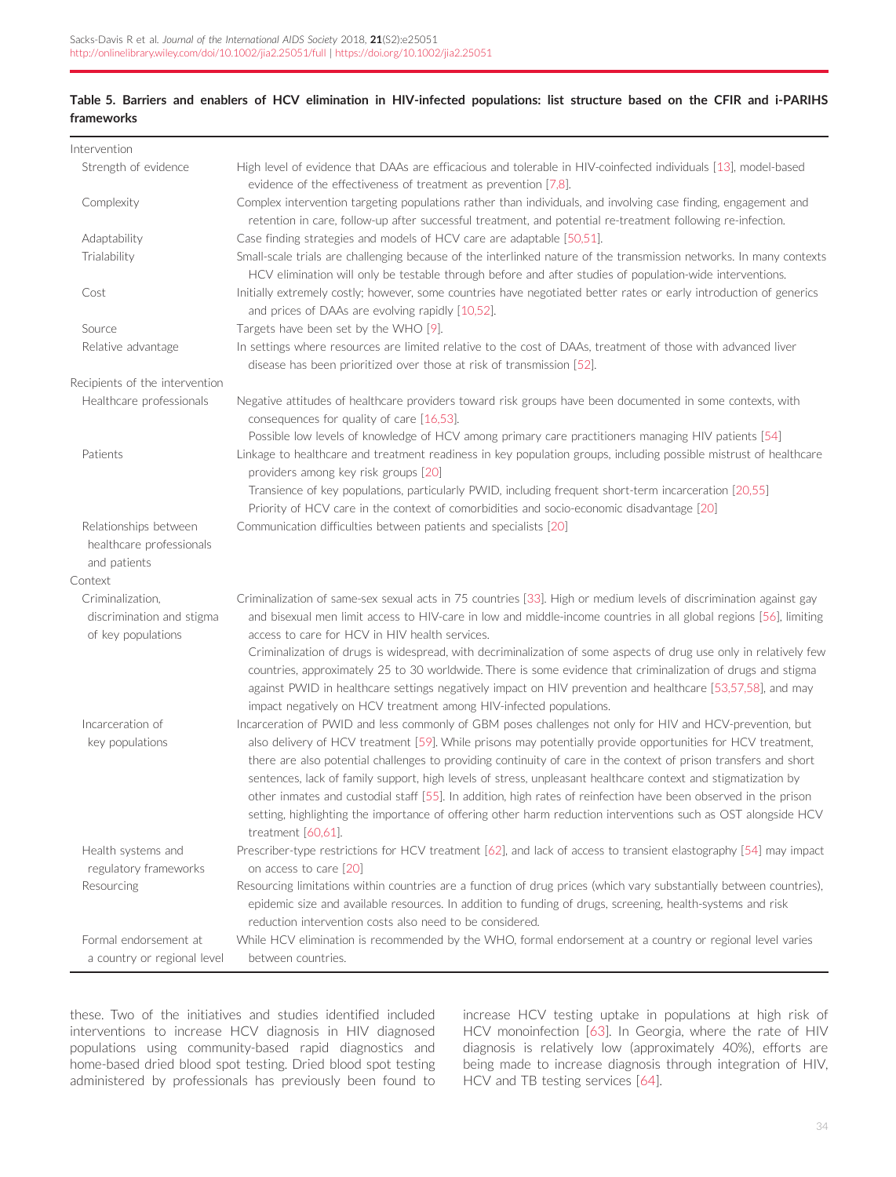# <span id="page-8-0"></span>Table 5. Barriers and enablers of HCV elimination in HIV-infected populations: list structure based on the CFIR and i-PARIHS frameworks

| Intervention                                                      |                                                                                                                                                                                                                                                                                                                                                                                                                                                                                                                                                                                                            |
|-------------------------------------------------------------------|------------------------------------------------------------------------------------------------------------------------------------------------------------------------------------------------------------------------------------------------------------------------------------------------------------------------------------------------------------------------------------------------------------------------------------------------------------------------------------------------------------------------------------------------------------------------------------------------------------|
| Strength of evidence                                              | High level of evidence that DAAs are efficacious and tolerable in HIV-coinfected individuals [13], model-based<br>evidence of the effectiveness of treatment as prevention [7,8].                                                                                                                                                                                                                                                                                                                                                                                                                          |
| Complexity                                                        | Complex intervention targeting populations rather than individuals, and involving case finding, engagement and<br>retention in care, follow-up after successful treatment, and potential re-treatment following re-infection.                                                                                                                                                                                                                                                                                                                                                                              |
| Adaptability                                                      | Case finding strategies and models of HCV care are adaptable [50,51].                                                                                                                                                                                                                                                                                                                                                                                                                                                                                                                                      |
| Trialability                                                      | Small-scale trials are challenging because of the interlinked nature of the transmission networks. In many contexts<br>HCV elimination will only be testable through before and after studies of population-wide interventions.                                                                                                                                                                                                                                                                                                                                                                            |
| Cost                                                              | Initially extremely costly; however, some countries have negotiated better rates or early introduction of generics<br>and prices of DAAs are evolving rapidly [10,52].                                                                                                                                                                                                                                                                                                                                                                                                                                     |
| Source                                                            | Targets have been set by the WHO [9].                                                                                                                                                                                                                                                                                                                                                                                                                                                                                                                                                                      |
| Relative advantage                                                | In settings where resources are limited relative to the cost of DAAs, treatment of those with advanced liver<br>disease has been prioritized over those at risk of transmission [52].                                                                                                                                                                                                                                                                                                                                                                                                                      |
| Recipients of the intervention                                    |                                                                                                                                                                                                                                                                                                                                                                                                                                                                                                                                                                                                            |
| Healthcare professionals                                          | Negative attitudes of healthcare providers toward risk groups have been documented in some contexts, with<br>consequences for quality of care [16,53].                                                                                                                                                                                                                                                                                                                                                                                                                                                     |
| Patients                                                          | Possible low levels of knowledge of HCV among primary care practitioners managing HIV patients [54]<br>Linkage to healthcare and treatment readiness in key population groups, including possible mistrust of healthcare<br>providers among key risk groups [20]                                                                                                                                                                                                                                                                                                                                           |
|                                                                   | Transience of key populations, particularly PWID, including frequent short-term incarceration [20,55]<br>Priority of HCV care in the context of comorbidities and socio-economic disadvantage [20]                                                                                                                                                                                                                                                                                                                                                                                                         |
| Relationships between<br>healthcare professionals<br>and patients | Communication difficulties between patients and specialists [20]                                                                                                                                                                                                                                                                                                                                                                                                                                                                                                                                           |
| Context                                                           |                                                                                                                                                                                                                                                                                                                                                                                                                                                                                                                                                                                                            |
| Criminalization,                                                  | Criminalization of same-sex sexual acts in 75 countries [33]. High or medium levels of discrimination against gay                                                                                                                                                                                                                                                                                                                                                                                                                                                                                          |
| discrimination and stigma<br>of key populations                   | and bisexual men limit access to HIV-care in low and middle-income countries in all global regions [56], limiting<br>access to care for HCV in HIV health services.                                                                                                                                                                                                                                                                                                                                                                                                                                        |
|                                                                   | Criminalization of drugs is widespread, with decriminalization of some aspects of drug use only in relatively few<br>countries, approximately 25 to 30 worldwide. There is some evidence that criminalization of drugs and stigma<br>against PWID in healthcare settings negatively impact on HIV prevention and healthcare [53,57,58], and may<br>impact negatively on HCV treatment among HIV-infected populations.                                                                                                                                                                                      |
| Incarceration of                                                  | Incarceration of PWID and less commonly of GBM poses challenges not only for HIV and HCV-prevention, but                                                                                                                                                                                                                                                                                                                                                                                                                                                                                                   |
| key populations                                                   | also delivery of HCV treatment [59]. While prisons may potentially provide opportunities for HCV treatment,<br>there are also potential challenges to providing continuity of care in the context of prison transfers and short<br>sentences, lack of family support, high levels of stress, unpleasant healthcare context and stigmatization by<br>other inmates and custodial staff [55]. In addition, high rates of reinfection have been observed in the prison<br>setting, highlighting the importance of offering other harm reduction interventions such as OST alongside HCV<br>treatment [60,61]. |
| Health systems and                                                | Prescriber-type restrictions for HCV treatment [62], and lack of access to transient elastography [54] may impact                                                                                                                                                                                                                                                                                                                                                                                                                                                                                          |
| regulatory frameworks                                             | on access to care [20]                                                                                                                                                                                                                                                                                                                                                                                                                                                                                                                                                                                     |
| Resourcing                                                        | Resourcing limitations within countries are a function of drug prices (which vary substantially between countries),<br>epidemic size and available resources. In addition to funding of drugs, screening, health-systems and risk<br>reduction intervention costs also need to be considered.                                                                                                                                                                                                                                                                                                              |
| Formal endorsement at                                             | While HCV elimination is recommended by the WHO, formal endorsement at a country or regional level varies                                                                                                                                                                                                                                                                                                                                                                                                                                                                                                  |
| a country or regional level                                       | between countries.                                                                                                                                                                                                                                                                                                                                                                                                                                                                                                                                                                                         |

these. Two of the initiatives and studies identified included interventions to increase HCV diagnosis in HIV diagnosed populations using community-based rapid diagnostics and home-based dried blood spot testing. Dried blood spot testing administered by professionals has previously been found to increase HCV testing uptake in populations at high risk of HCV monoinfection [[63](#page-11-0)]. In Georgia, where the rate of HIV diagnosis is relatively low (approximately 40%), efforts are being made to increase diagnosis through integration of HIV, HCV and TB testing services [[64\]](#page-11-0).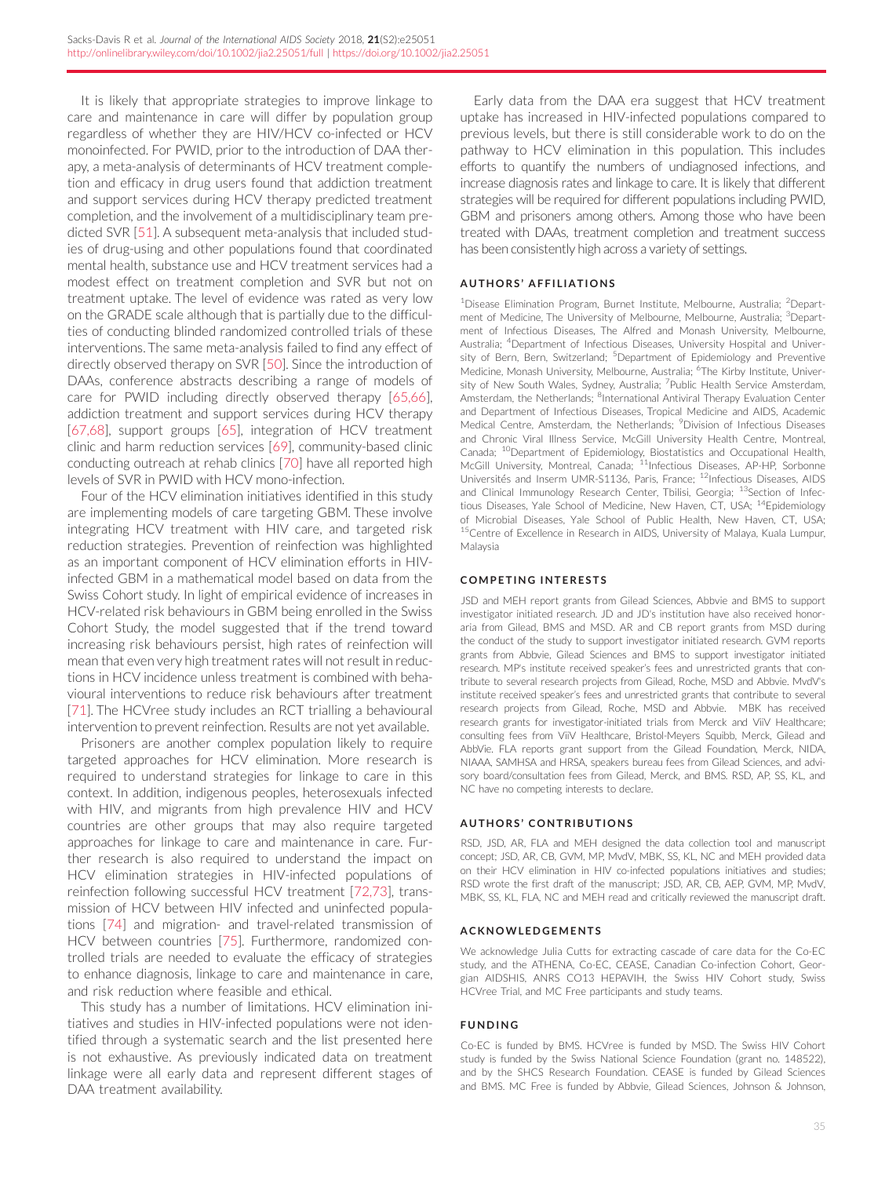It is likely that appropriate strategies to improve linkage to care and maintenance in care will differ by population group regardless of whether they are HIV/HCV co-infected or HCV monoinfected. For PWID, prior to the introduction of DAA therapy, a meta-analysis of determinants of HCV treatment completion and efficacy in drug users found that addiction treatment and support services during HCV therapy predicted treatment completion, and the involvement of a multidisciplinary team predicted SVR [\[51\]](#page-11-0). A subsequent meta-analysis that included studies of drug-using and other populations found that coordinated mental health, substance use and HCV treatment services had a modest effect on treatment completion and SVR but not on treatment uptake. The level of evidence was rated as very low on the GRADE scale although that is partially due to the difficulties of conducting blinded randomized controlled trials of these interventions. The same meta-analysis failed to find any effect of directly observed therapy on SVR [\[50](#page-11-0)]. Since the introduction of DAAs, conference abstracts describing a range of models of care for PWID including directly observed therapy [\[65,66](#page-11-0)], addiction treatment and support services during HCV therapy [\[67,68\]](#page-11-0), support groups [\[65](#page-11-0)], integration of HCV treatment clinic and harm reduction services [\[69](#page-11-0)], community-based clinic conducting outreach at rehab clinics [\[70](#page-11-0)] have all reported high levels of SVR in PWID with HCV mono-infection.

Four of the HCV elimination initiatives identified in this study are implementing models of care targeting GBM. These involve integrating HCV treatment with HIV care, and targeted risk reduction strategies. Prevention of reinfection was highlighted as an important component of HCV elimination efforts in HIVinfected GBM in a mathematical model based on data from the Swiss Cohort study. In light of empirical evidence of increases in HCV-related risk behaviours in GBM being enrolled in the Swiss Cohort Study, the model suggested that if the trend toward increasing risk behaviours persist, high rates of reinfection will mean that even very high treatment rates will not result in reductions in HCV incidence unless treatment is combined with behavioural interventions to reduce risk behaviours after treatment [\[71\]](#page-11-0). The HCVree study includes an RCT trialling a behavioural intervention to prevent reinfection. Results are not yet available.

Prisoners are another complex population likely to require targeted approaches for HCV elimination. More research is required to understand strategies for linkage to care in this context. In addition, indigenous peoples, heterosexuals infected with HIV, and migrants from high prevalence HIV and HCV countries are other groups that may also require targeted approaches for linkage to care and maintenance in care. Further research is also required to understand the impact on HCV elimination strategies in HIV-infected populations of reinfection following successful HCV treatment [\[72,73\]](#page-11-0), transmission of HCV between HIV infected and uninfected populations [[74](#page-11-0)] and migration- and travel-related transmission of HCV between countries [[75](#page-11-0)]. Furthermore, randomized controlled trials are needed to evaluate the efficacy of strategies to enhance diagnosis, linkage to care and maintenance in care, and risk reduction where feasible and ethical.

This study has a number of limitations. HCV elimination initiatives and studies in HIV-infected populations were not identified through a systematic search and the list presented here is not exhaustive. As previously indicated data on treatment linkage were all early data and represent different stages of DAA treatment availability.

Early data from the DAA era suggest that HCV treatment uptake has increased in HIV-infected populations compared to previous levels, but there is still considerable work to do on the pathway to HCV elimination in this population. This includes efforts to quantify the numbers of undiagnosed infections, and increase diagnosis rates and linkage to care. It is likely that different strategies will be required for different populations including PWID, GBM and prisoners among others. Among those who have been treated with DAAs, treatment completion and treatment success has been consistently high across a variety of settings.

#### AUTHORS ' AFFILIATIONS

<sup>1</sup>Disease Elimination Program, Burnet Institute, Melbourne, Australia; <sup>2</sup>Department of Medicine, The University of Melbourne, Melbourne, Australia; <sup>3</sup>Department of Infectious Diseases, The Alfred and Monash University, Melbourne, Australia; <sup>4</sup>Department of Infectious Diseases, University Hospital and University of Bern, Bern, Switzerland; <sup>5</sup>Department of Epidemiology and Preventive Medicine, Monash University, Melbourne, Australia; <sup>6</sup>The Kirby Institute, University of New South Wales, Sydney, Australia; <sup>7</sup>Public Health Service Amsterdam Amsterdam, the Netherlands; <sup>8</sup>International Antiviral Therapy Evaluation Center and Department of Infectious Diseases, Tropical Medicine and AIDS, Academic Medical Centre, Amsterdam, the Netherlands; <sup>9</sup>Division of Infectious Diseases and Chronic Viral Illness Service, McGill University Health Centre, Montreal, Canada; <sup>10</sup>Department of Epidemiology, Biostatistics and Occupational Health, McGill University, Montreal, Canada; <sup>11</sup>Infectious Diseases, AP-HP, Sorbonne Universites and Inserm UMR-S1136, Paris, France; 12Infectious Diseases, AIDS and Clinical Immunology Research Center, Tbilisi, Georgia; <sup>13</sup>Section of Infectious Diseases, Yale School of Medicine, New Haven, CT, USA; 14Epidemiology of Microbial Diseases, Yale School of Public Health, New Haven, CT, USA; <sup>15</sup>Centre of Excellence in Research in AIDS, University of Malaya, Kuala Lumpur, Malaysia

#### COMPETING INTERESTS

JSD and MEH report grants from Gilead Sciences, Abbvie and BMS to support investigator initiated research. JD and JD's institution have also received honoraria from Gilead, BMS and MSD. AR and CB report grants from MSD during the conduct of the study to support investigator initiated research. GVM reports grants from Abbvie, Gilead Sciences and BMS to support investigator initiated research. MP's institute received speaker's fees and unrestricted grants that contribute to several research projects from Gilead, Roche, MSD and Abbvie. MvdV's institute received speaker's fees and unrestricted grants that contribute to several research projects from Gilead, Roche, MSD and Abbvie. MBK has received research grants for investigator-initiated trials from Merck and ViiV Healthcare; consulting fees from ViiV Healthcare, Bristol-Meyers Squibb, Merck, Gilead and AbbVie. FLA reports grant support from the Gilead Foundation, Merck, NIDA, NIAAA, SAMHSA and HRSA, speakers bureau fees from Gilead Sciences, and advisory board/consultation fees from Gilead, Merck, and BMS. RSD, AP, SS, KL, and NC have no competing interests to declare.

#### **AUTHORS' CONTRIBUTIONS**

RSD, JSD, AR, FLA and MEH designed the data collection tool and manuscript concept; JSD, AR, CB, GVM, MP, MvdV, MBK, SS, KL, NC and MEH provided data on their HCV elimination in HIV co-infected populations initiatives and studies; RSD wrote the first draft of the manuscript; JSD, AR, CB, AEP, GVM, MP, MvdV, MBK, SS, KL, FLA, NC and MEH read and critically reviewed the manuscript draft.

#### ACKNOWLEDGEMENTS

We acknowledge Julia Cutts for extracting cascade of care data for the Co-EC study, and the ATHENA, Co-EC, CEASE, Canadian Co-infection Cohort, Georgian AIDSHIS, ANRS CO13 HEPAVIH, the Swiss HIV Cohort study, Swiss HCVree Trial, and MC Free participants and study teams.

#### FUNDING

Co-EC is funded by BMS. HCVree is funded by MSD. The Swiss HIV Cohort study is funded by the Swiss National Science Foundation (grant no. 148522), and by the SHCS Research Foundation. CEASE is funded by Gilead Sciences and BMS. MC Free is funded by Abbvie, Gilead Sciences, Johnson & Johnson,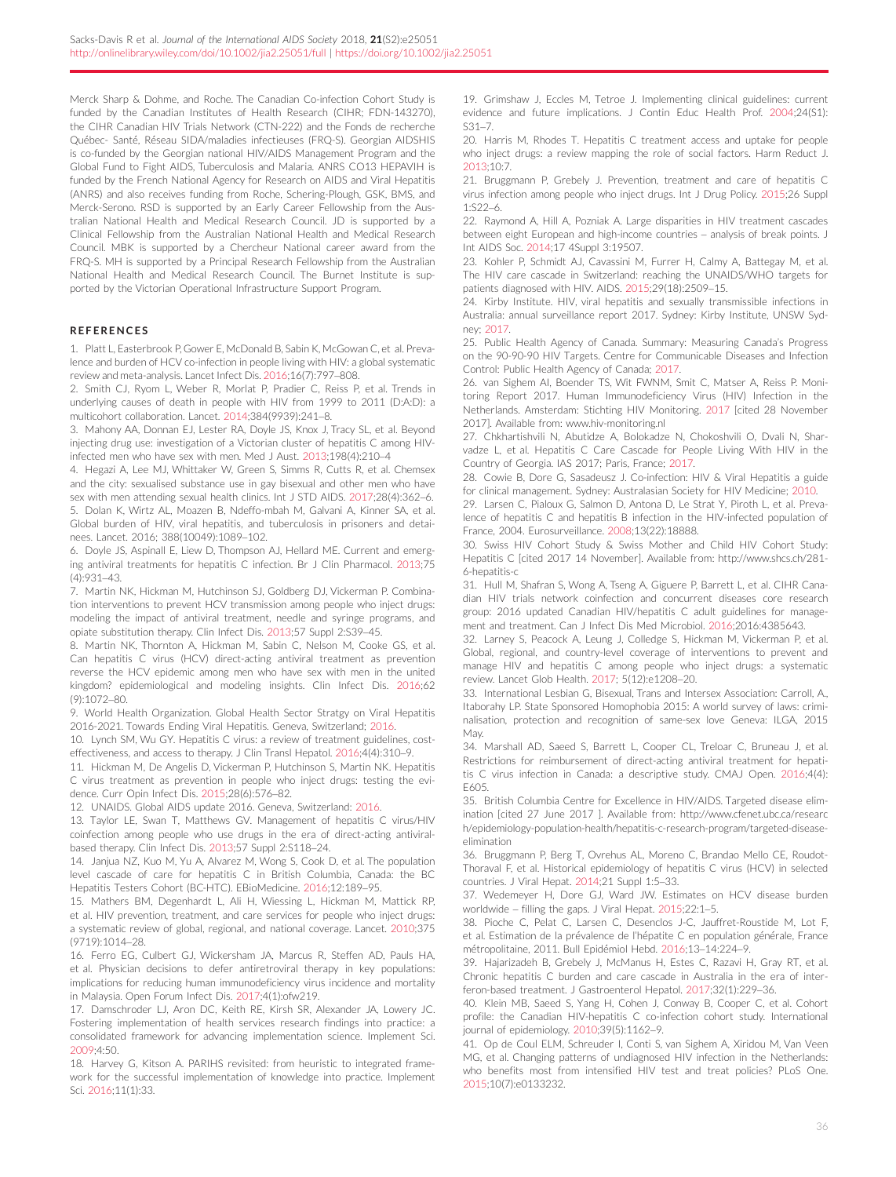<span id="page-10-0"></span>Merck Sharp & Dohme, and Roche. The Canadian Co-infection Cohort Study is funded by the Canadian Institutes of Health Research (CIHR; FDN-143270), the CIHR Canadian HIV Trials Network (CTN-222) and the Fonds de recherche Québec- Santé, Réseau SIDA/maladies infectieuses (FRQ-S). Georgian AIDSHIS is co-funded by the Georgian national HIV/AIDS Management Program and the Global Fund to Fight AIDS, Tuberculosis and Malaria. ANRS CO13 HEPAVIH is funded by the French National Agency for Research on AIDS and Viral Hepatitis (ANRS) and also receives funding from Roche, Schering-Plough, GSK, BMS, and Merck-Serono. RSD is supported by an Early Career Fellowship from the Australian National Health and Medical Research Council. JD is supported by a Clinical Fellowship from the Australian National Health and Medical Research Council. MBK is supported by a Chercheur National career award from the FRQ-S. MH is supported by a Principal Research Fellowship from the Australian National Health and Medical Research Council. The Burnet Institute is supported by the Victorian Operational Infrastructure Support Program.

## **REFERENCES**

1. Platt L, Easterbrook P, Gower E, McDonald B, Sabin K, McGowan C, et al. Prevalence and burden of HCV co-infection in people living with HIV: a global systematic review and meta-analysis. Lancet Infect Dis. 2016;16(7):797–808.

2. Smith CJ, Ryom L, Weber R, Morlat P, Pradier C, Reiss P, et al. Trends in underlying causes of death in people with HIV from 1999 to 2011 (D:A:D): a multicohort collaboration. Lancet. 2014;384(9939):241–8.

3. Mahony AA, Donnan EJ, Lester RA, Doyle JS, Knox J, Tracy SL, et al. Beyond injecting drug use: investigation of a Victorian cluster of hepatitis C among HIVinfected men who have sex with men. Med J Aust. 2013;198(4):210–4

4. Hegazi A, Lee MJ, Whittaker W, Green S, Simms R, Cutts R, et al. Chemsex and the city: sexualised substance use in gay bisexual and other men who have sex with men attending sexual health clinics. Int J STD AIDS. 2017;28(4):362–6. 5. Dolan K, Wirtz AL, Moazen B, Ndeffo-mbah M, Galvani A, Kinner SA, et al. Global burden of HIV, viral hepatitis, and tuberculosis in prisoners and detainees. Lancet. 2016; 388(10049):1089–102.

6. Doyle JS, Aspinall E, Liew D, Thompson AJ, Hellard ME. Current and emerging antiviral treatments for hepatitis C infection. Br J Clin Pharmacol. 2013;75  $(4)$  $-931 - 43$ 

7. Martin NK, Hickman M, Hutchinson SJ, Goldberg DJ, Vickerman P. Combination interventions to prevent HCV transmission among people who inject drugs: modeling the impact of antiviral treatment, needle and syringe programs, and opiate substitution therapy. Clin Infect Dis. 2013;57 Suppl 2:S39–45.

8. Martin NK, Thornton A, Hickman M, Sabin C, Nelson M, Cooke GS, et al. Can hepatitis C virus (HCV) direct-acting antiviral treatment as prevention reverse the HCV epidemic among men who have sex with men in the united kingdom? epidemiological and modeling insights. Clin Infect Dis. 2016;62 (9):1072–80.

9. World Health Organization. Global Health Sector Stratgy on Viral Hepatitis 2016-2021. Towards Ending Viral Hepatitis. Geneva, Switzerland; 2016.

10. Lynch SM, Wu GY. Hepatitis C virus: a review of treatment guidelines, costeffectiveness, and access to therapy. J Clin Transl Hepatol. 2016;4(4):310–9.

11. Hickman M, De Angelis D, Vickerman P, Hutchinson S, Martin NK. Hepatitis C virus treatment as prevention in people who inject drugs: testing the evidence. Curr Opin Infect Dis. 2015;28(6):576–82.

12. UNAIDS. Global AIDS update 2016. Geneva, Switzerland: 2016.

13. Taylor LE, Swan T, Matthews GV. Management of hepatitis C virus/HIV coinfection among people who use drugs in the era of direct-acting antiviralbased therapy. Clin Infect Dis. 2013;57 Suppl 2:S118–24.

14. Janjua NZ, Kuo M, Yu A, Alvarez M, Wong S, Cook D, et al. The population level cascade of care for hepatitis C in British Columbia, Canada: the BC Hepatitis Testers Cohort (BC-HTC). EBioMedicine. 2016;12:189–95.

15. Mathers BM, Degenhardt L, Ali H, Wiessing L, Hickman M, Mattick RP, et al. HIV prevention, treatment, and care services for people who inject drugs: a systematic review of global, regional, and national coverage. Lancet. 2010;375 (9719):1014–28.

16. Ferro EG, Culbert GJ, Wickersham JA, Marcus R, Steffen AD, Pauls HA, et al. Physician decisions to defer antiretroviral therapy in key populations: implications for reducing human immunodeficiency virus incidence and mortality in Malaysia. Open Forum Infect Dis. 2017;4(1):ofw219.

17. Damschroder LJ, Aron DC, Keith RE, Kirsh SR, Alexander JA, Lowery JC. Fostering implementation of health services research findings into practice: a consolidated framework for advancing implementation science. Implement Sci. 2009;4:50.

18. Harvey G, Kitson A. PARIHS revisited: from heuristic to integrated framework for the successful implementation of knowledge into practice. Implement Sci. 2016;11(1):33.

19. Grimshaw J, Eccles M, Tetroe J. Implementing clinical guidelines: current evidence and future implications. J Contin Educ Health Prof. 2004;24(S1): S31–7.

20. Harris M, Rhodes T. Hepatitis C treatment access and uptake for people who inject drugs: a review mapping the role of social factors. Harm Reduct J. 2013;10:7.

21. Bruggmann P, Grebely J. Prevention, treatment and care of hepatitis C virus infection among people who inject drugs. Int J Drug Policy. 2015;26 Suppl 1:S22–6.

22. Raymond A, Hill A, Pozniak A. Large disparities in HIV treatment cascades between eight European and high-income countries – analysis of break points. J Int AIDS Soc. 2014;17 4Suppl 3:19507.

23. Kohler P, Schmidt AJ, Cavassini M, Furrer H, Calmy A, Battegay M, et al. The HIV care cascade in Switzerland: reaching the UNAIDS/WHO targets for patients diagnosed with HIV. AIDS. 2015;29(18):2509–15.

24. Kirby Institute. HIV, viral hepatitis and sexually transmissible infections in Australia: annual surveillance report 2017. Sydney: Kirby Institute, UNSW Sydney; 2017.

25. Public Health Agency of Canada. Summary: Measuring Canada's Progress on the 90-90-90 HIV Targets. Centre for Communicable Diseases and Infection Control: Public Health Agency of Canada; 2017.

26. van Sighem AI, Boender TS, Wit FWNM, Smit C, Matser A, Reiss P. Monitoring Report 2017. Human Immunodeficiency Virus (HIV) Infection in the Netherlands. Amsterdam: Stichting HIV Monitoring. 2017 [cited 28 November 2017]. Available from: [www.hiv-monitoring.nl](http://www.hiv-monitoring.nl)

27. Chkhartishvili N, Abutidze A, Bolokadze N, Chokoshvili O, Dvali N, Sharvadze L, et al. Hepatitis C Care Cascade for People Living With HIV in the Country of Georgia. IAS 2017; Paris, France; 2017.

28. Cowie B, Dore G, Sasadeusz J. Co-infection: HIV & Viral Hepatitis a guide for clinical management. Sydney: Australasian Society for HIV Medicine; 2010.

29. Larsen C, Pialoux G, Salmon D, Antona D, Le Strat Y, Piroth L, et al. Prevalence of hepatitis C and hepatitis B infection in the HIV-infected population of France, 2004. Eurosurveillance. 2008;13(22):18888.

30. Swiss HIV Cohort Study & Swiss Mother and Child HIV Cohort Study: Hepatitis C [cited 2017 14 November]. Available from: [http://www.shcs.ch/281-](http://www.shcs.ch/281-6-hepatitis-c) [6-hepatitis-c](http://www.shcs.ch/281-6-hepatitis-c)

31. Hull M, Shafran S, Wong A, Tseng A, Giguere P, Barrett L, et al. CIHR Canadian HIV trials network coinfection and concurrent diseases core research group: 2016 updated Canadian HIV/hepatitis C adult guidelines for management and treatment. Can J Infect Dis Med Microbiol. 2016;2016:4385643.

32. Larney S, Peacock A, Leung J, Colledge S, Hickman M, Vickerman P, et al. Global, regional, and country-level coverage of interventions to prevent and manage HIV and hepatitis C among people who inject drugs: a systematic review. Lancet Glob Health. 2017; 5(12):e1208–20.

33. International Lesbian G, Bisexual, Trans and Intersex Association: Carroll, A., Itaborahy LP. State Sponsored Homophobia 2015: A world survey of laws: criminalisation, protection and recognition of same-sex love Geneva: ILGA, 2015 May.

34. Marshall AD, Saeed S, Barrett L, Cooper CL, Treloar C, Bruneau J, et al. Restrictions for reimbursement of direct-acting antiviral treatment for hepatitis C virus infection in Canada: a descriptive study. CMAJ Open. 2016;4(4): E605.

35. British Columbia Centre for Excellence in HIV/AIDS. Targeted disease elimination [cited 27 June 2017 ]. Available from: [http://www.cfenet.ubc.ca/researc](http://www.cfenet.ubc.ca/research/epidemiology-population-health/hepatitis-c-research-program/targeted-disease-elimination) [h/epidemiology-population-health/hepatitis-c-research-program/targeted-disease](http://www.cfenet.ubc.ca/research/epidemiology-population-health/hepatitis-c-research-program/targeted-disease-elimination)[elimination](http://www.cfenet.ubc.ca/research/epidemiology-population-health/hepatitis-c-research-program/targeted-disease-elimination)

36. Bruggmann P, Berg T, Ovrehus AL, Moreno C, Brandao Mello CE, Roudot-Thoraval F, et al. Historical epidemiology of hepatitis C virus (HCV) in selected countries. J Viral Hepat. 2014;21 Suppl 1:5–33.

37. Wedemeyer H, Dore GJ, Ward JW. Estimates on HCV disease burden worldwide – filling the gaps. J Viral Hepat. 2015;22:1–5.

38. Pioche C, Pelat C, Larsen C, Desenclos J-C, Jauffret-Roustide M, Lot F, et al. Estimation de la prévalence de l'hépatite C en population générale, France métropolitaine, 2011. Bull Epidémiol Hebd. 2016;13-14:224-9

39. Hajarizadeh B, Grebely J, McManus H, Estes C, Razavi H, Gray RT, et al. Chronic hepatitis C burden and care cascade in Australia in the era of interferon-based treatment. J Gastroenterol Hepatol. 2017;32(1):229–36.

40. Klein MB, Saeed S, Yang H, Cohen J, Conway B, Cooper C, et al. Cohort profile: the Canadian HIV-hepatitis C co-infection cohort study. International journal of epidemiology. 2010;39(5):1162–9.

41. Op de Coul ELM, Schreuder I, Conti S, van Sighem A, Xiridou M, Van Veen MG, et al. Changing patterns of undiagnosed HIV infection in the Netherlands: who benefits most from intensified HIV test and treat policies? PLoS One. 2015;10(7):e0133232.